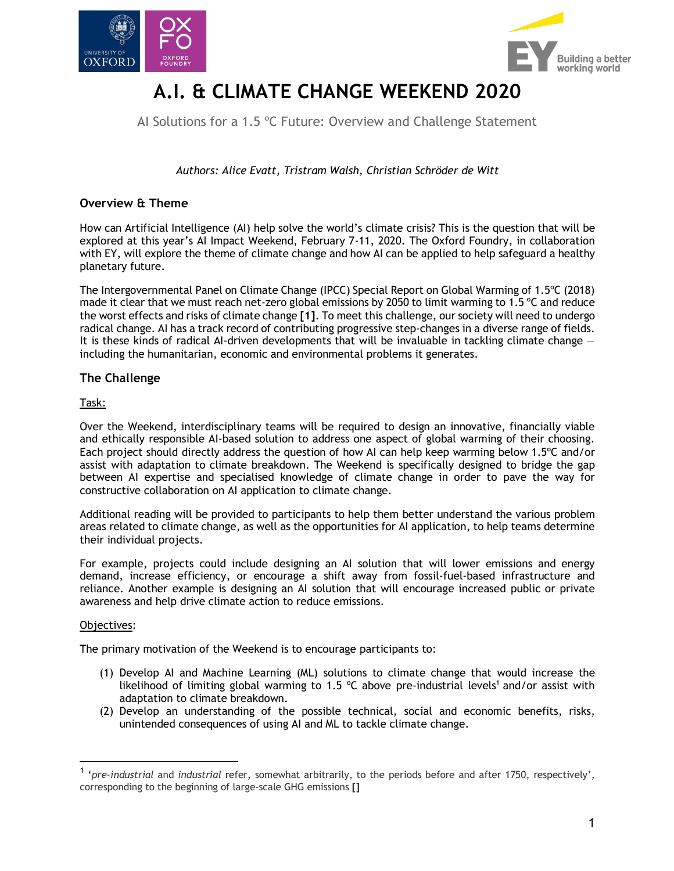



# **A.I. & CLIMATE CHANGE WEEKEND 2020**

AI Solutions for a 1.5 °C Future: Overview and Challenge Statement

*Authors: Alice Evatt, Tristram Walsh, Christian Schröder de Witt*

## **Overview & Theme**

How can Artificial Intelligence (AI) help solve the world's climate crisis? This is the question that will be explored at this year's AI Impact Weekend, February 7-11, 2020. The Oxford Foundry, in collaboration with EY, will explore the theme of climate change and how AI can be applied to help safeguard a healthy planetary future.

The Intergovernmental Panel on Climate Change (IPCC) Special Report on Global Warming of 1.5ºC (2018) made it clear that we must reach net-zero global emissions by 2050 to limit warming to 1.5 ºC and reduce the worst effects and risks of climate change **[1]**. To meet this challenge, our society will need to undergo radical change. AI has a track record of contributing progressive step-changes in a diverse range of fields. It is these kinds of radical AI-driven developments that will be invaluable in tackling climate change  $$ including the humanitarian, economic and environmental problems it generates.

## **The Challenge**

Task:

Over the Weekend, interdisciplinary teams will be required to design an innovative, financially viable and ethically responsible AI-based solution to address one aspect of global warming of their choosing. Each project should directly address the question of how AI can help keep warming below 1.5ºC and/or assist with adaptation to climate breakdown. The Weekend is specifically designed to bridge the gap between AI expertise and specialised knowledge of climate change in order to pave the way for constructive collaboration on AI application to climate change.

Additional reading will be provided to participants to help them better understand the various problem areas related to climate change, as well as the opportunities for AI application, to help teams determine their individual projects.

For example, projects could include designing an AI solution that will lower emissions and energy demand, increase efficiency, or encourage a shift away from fossil-fuel-based infrastructure and reliance. Another example is designing an AI solution that will encourage increased public or private awareness and help drive climate action to reduce emissions.

#### Objectives:

The primary motivation of the Weekend is to encourage participants to:

- (1) Develop AI and Machine Learning (ML) solutions to climate change that would increase the likelihood of limiting global warming to 1.5  $\degree$ C above pre-industrial levels<sup>1</sup> and/or assist with adaptation to climate breakdown.
- (2) Develop an understanding of the possible technical, social and economic benefits, risks, unintended consequences of using AI and ML to tackle climate change.

 <sup>1</sup> '*pre-industrial* and *industrial* refer, somewhat arbitrarily, to the periods before and after 1750, respectively', corresponding to the beginning of large-scale GHG emissions **[]**